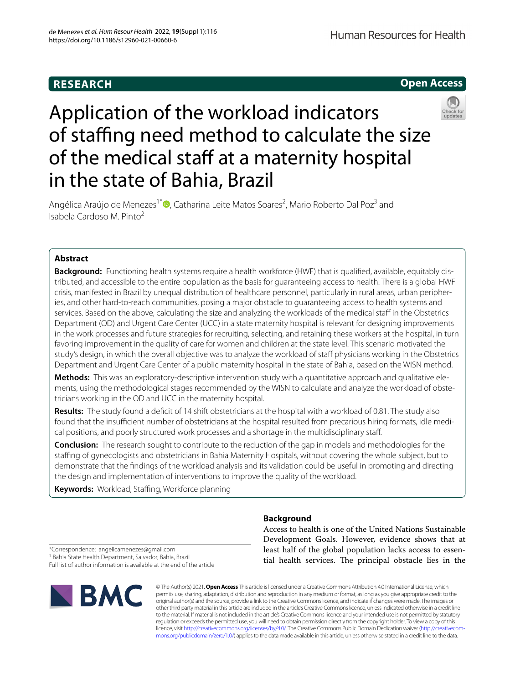

# Application of the workload indicators of staffing need method to calculate the size of the medical staff at a maternity hospital in the state of Bahia, Brazil



Angélica Araújo de Menezes<sup>1\*</sup><sup>®</sup>[,](http://orcid.org/0000-0001-7562-6612) Catharina Leite Matos Soares<sup>2</sup>, Mario Roberto Dal Poz<sup>3</sup> and Isabela Cardoso M. Pinto2

# **Abstract**

**Background:** Functioning health systems require a health workforce (HWF) that is qualifed, available, equitably distributed, and accessible to the entire population as the basis for guaranteeing access to health. There is a global HWF crisis, manifested in Brazil by unequal distribution of healthcare personnel, particularly in rural areas, urban peripheries, and other hard-to-reach communities, posing a major obstacle to guaranteeing access to health systems and services. Based on the above, calculating the size and analyzing the workloads of the medical staff in the Obstetrics Department (OD) and Urgent Care Center (UCC) in a state maternity hospital is relevant for designing improvements in the work processes and future strategies for recruiting, selecting, and retaining these workers at the hospital, in turn favoring improvement in the quality of care for women and children at the state level. This scenario motivated the study's design, in which the overall objective was to analyze the workload of staff physicians working in the Obstetrics Department and Urgent Care Center of a public maternity hospital in the state of Bahia, based on the WISN method.

**Methods:** This was an exploratory-descriptive intervention study with a quantitative approach and qualitative elements, using the methodological stages recommended by the WISN to calculate and analyze the workload of obstetricians working in the OD and UCC in the maternity hospital.

**Results:** The study found a defcit of 14 shift obstetricians at the hospital with a workload of 0.81. The study also found that the insufficient number of obstetricians at the hospital resulted from precarious hiring formats, idle medical positions, and poorly structured work processes and a shortage in the multidisciplinary staf.

**Conclusion:** The research sought to contribute to the reduction of the gap in models and methodologies for the stafng of gynecologists and obstetricians in Bahia Maternity Hospitals, without covering the whole subject, but to demonstrate that the fndings of the workload analysis and its validation could be useful in promoting and directing the design and implementation of interventions to improve the quality of the workload.

**Keywords:** Workload, Staffing, Workforce planning

# **Background**

Access to health is one of the United Nations Sustainable Development Goals. However, evidence shows that at least half of the global population lacks access to essential health services. The principal obstacle lies in the

\*Correspondence: angelicamenezes@gmail.com

<sup>1</sup> Bahia State Health Department, Salvador, Bahia, Brazil Full list of author information is available at the end of the article



© The Author(s) 2021. **Open Access** This article is licensed under a Creative Commons Attribution 4.0 International License, which permits use, sharing, adaptation, distribution and reproduction in any medium or format, as long as you give appropriate credit to the original author(s) and the source, provide a link to the Creative Commons licence, and indicate if changes were made. The images or other third party material in this article are included in the article's Creative Commons licence, unless indicated otherwise in a credit line to the material. If material is not included in the article's Creative Commons licence and your intended use is not permitted by statutory regulation or exceeds the permitted use, you will need to obtain permission directly from the copyright holder. To view a copy of this licence, visit [http://creativecommons.org/licenses/by/4.0/.](http://creativecommons.org/licenses/by/4.0/) The Creative Commons Public Domain Dedication waiver ([http://creativecom](http://creativecommons.org/publicdomain/zero/1.0/)[mons.org/publicdomain/zero/1.0/\)](http://creativecommons.org/publicdomain/zero/1.0/) applies to the data made available in this article, unless otherwise stated in a credit line to the data.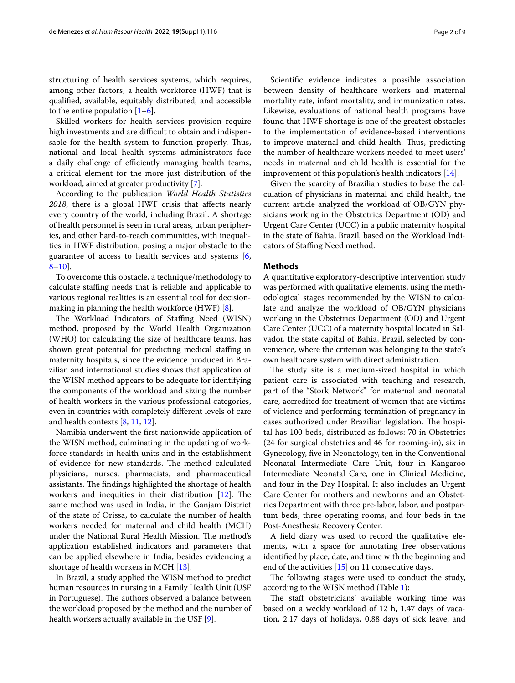structuring of health services systems, which requires, among other factors, a health workforce (HWF) that is qualifed, available, equitably distributed, and accessible to the entire population  $[1-6]$  $[1-6]$ .

Skilled workers for health services provision require high investments and are difficult to obtain and indispensable for the health system to function properly. Thus, national and local health systems administrators face a daily challenge of efficiently managing health teams, a critical element for the more just distribution of the workload, aimed at greater productivity [[7\]](#page-8-2).

According to the publication *World Health Statistics 2018*, there is a global HWF crisis that afects nearly every country of the world, including Brazil. A shortage of health personnel is seen in rural areas, urban peripheries, and other hard-to-reach communities, with inequalities in HWF distribution, posing a major obstacle to the guarantee of access to health services and systems [\[6](#page-8-1), [8–](#page-8-3)[10](#page-8-4)].

To overcome this obstacle, a technique/methodology to calculate staffing needs that is reliable and applicable to various regional realities is an essential tool for decisionmaking in planning the health workforce (HWF) [\[8\]](#page-8-3).

The Workload Indicators of Staffing Need (WISN) method, proposed by the World Health Organization (WHO) for calculating the size of healthcare teams, has shown great potential for predicting medical staffing in maternity hospitals, since the evidence produced in Brazilian and international studies shows that application of the WISN method appears to be adequate for identifying the components of the workload and sizing the number of health workers in the various professional categories, even in countries with completely diferent levels of care and health contexts [[8,](#page-8-3) [11](#page-8-5), [12\]](#page-8-6).

Namibia underwent the frst nationwide application of the WISN method, culminating in the updating of workforce standards in health units and in the establishment of evidence for new standards. The method calculated physicians, nurses, pharmacists, and pharmaceutical assistants. The findings highlighted the shortage of health workers and inequities in their distribution  $[12]$  $[12]$ . The same method was used in India, in the Ganjam District of the state of Orissa, to calculate the number of health workers needed for maternal and child health (MCH) under the National Rural Health Mission. The method's application established indicators and parameters that can be applied elsewhere in India, besides evidencing a shortage of health workers in MCH [[13\]](#page-8-7).

In Brazil, a study applied the WISN method to predict human resources in nursing in a Family Health Unit (USF in Portuguese). The authors observed a balance between the workload proposed by the method and the number of health workers actually available in the USF [\[9](#page-8-8)].

Scientifc evidence indicates a possible association between density of healthcare workers and maternal mortality rate, infant mortality, and immunization rates. Likewise, evaluations of national health programs have found that HWF shortage is one of the greatest obstacles to the implementation of evidence-based interventions to improve maternal and child health. Thus, predicting the number of healthcare workers needed to meet users' needs in maternal and child health is essential for the improvement of this population's health indicators [[14\]](#page-8-9).

Given the scarcity of Brazilian studies to base the calculation of physicians in maternal and child health, the current article analyzed the workload of OB/GYN physicians working in the Obstetrics Department (OD) and Urgent Care Center (UCC) in a public maternity hospital in the state of Bahia, Brazil, based on the Workload Indicators of Staffing Need method.

## **Methods**

A quantitative exploratory-descriptive intervention study was performed with qualitative elements, using the methodological stages recommended by the WISN to calculate and analyze the workload of OB/GYN physicians working in the Obstetrics Department (OD) and Urgent Care Center (UCC) of a maternity hospital located in Salvador, the state capital of Bahia, Brazil, selected by convenience, where the criterion was belonging to the state's own healthcare system with direct administration.

The study site is a medium-sized hospital in which patient care is associated with teaching and research, part of the "Stork Network" for maternal and neonatal care, accredited for treatment of women that are victims of violence and performing termination of pregnancy in cases authorized under Brazilian legislation. The hospital has 100 beds, distributed as follows: 70 in Obstetrics (24 for surgical obstetrics and 46 for rooming-in), six in Gynecology, fve in Neonatology, ten in the Conventional Neonatal Intermediate Care Unit, four in Kangaroo Intermediate Neonatal Care, one in Clinical Medicine, and four in the Day Hospital. It also includes an Urgent Care Center for mothers and newborns and an Obstetrics Department with three pre-labor, labor, and postpartum beds, three operating rooms, and four beds in the Post-Anesthesia Recovery Center.

A feld diary was used to record the qualitative elements, with a space for annotating free observations identifed by place, date, and time with the beginning and end of the activities [[15\]](#page-8-10) on 11 consecutive days.

The following stages were used to conduct the study, according to the WISN method (Table [1](#page-2-0)):

The staff obstetricians' available working time was based on a weekly workload of 12 h, 1.47 days of vacation, 2.17 days of holidays, 0.88 days of sick leave, and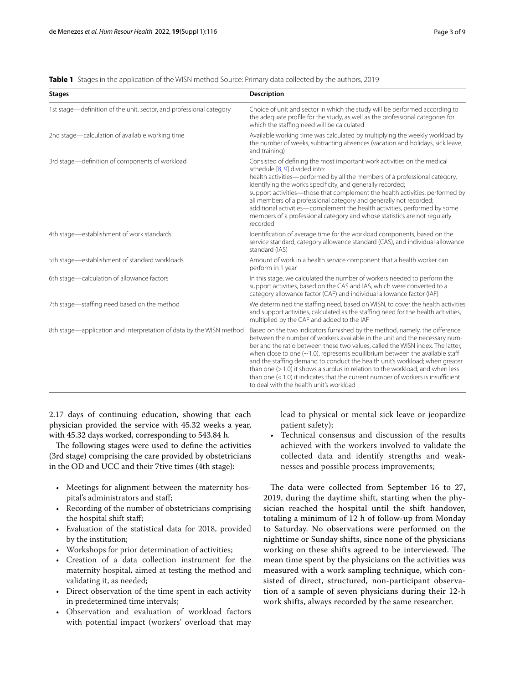<span id="page-2-0"></span>

|  |  |  | <b>Table 1</b> Stages in the application of the WISN method Source: Primary data collected by the authors, 2019 |  |  |  |
|--|--|--|-----------------------------------------------------------------------------------------------------------------|--|--|--|
|--|--|--|-----------------------------------------------------------------------------------------------------------------|--|--|--|

| <b>Stages</b>                                                       | <b>Description</b>                                                                                                                                                                                                                                                                                                                                                                                                                                                                                                                                                                                                                 |
|---------------------------------------------------------------------|------------------------------------------------------------------------------------------------------------------------------------------------------------------------------------------------------------------------------------------------------------------------------------------------------------------------------------------------------------------------------------------------------------------------------------------------------------------------------------------------------------------------------------------------------------------------------------------------------------------------------------|
| 1st stage-definition of the unit, sector, and professional category | Choice of unit and sector in which the study will be performed according to<br>the adequate profile for the study, as well as the professional categories for<br>which the staffing need will be calculated                                                                                                                                                                                                                                                                                                                                                                                                                        |
| 2nd stage—calculation of available working time                     | Available working time was calculated by multiplying the weekly workload by<br>the number of weeks, subtracting absences (vacation and holidays, sick leave,<br>and training)                                                                                                                                                                                                                                                                                                                                                                                                                                                      |
| 3rd stage-definition of components of workload                      | Consisted of defining the most important work activities on the medical<br>schedule [8, 9] divided into:<br>health activities—performed by all the members of a professional category,<br>identifying the work's specificity, and generally recorded;<br>support activities—those that complement the health activities, performed by<br>all members of a professional category and generally not recorded;<br>additional activities—complement the health activities, performed by some<br>members of a professional category and whose statistics are not regularly<br>recorded                                                  |
| 4th stage-establishment of work standards                           | Identification of average time for the workload components, based on the<br>service standard, category allowance standard (CAS), and individual allowance<br>standard (IAS)                                                                                                                                                                                                                                                                                                                                                                                                                                                        |
| 5th stage-establishment of standard workloads                       | Amount of work in a health service component that a health worker can<br>perform in 1 year                                                                                                                                                                                                                                                                                                                                                                                                                                                                                                                                         |
| 6th stage-calculation of allowance factors                          | In this stage, we calculated the number of workers needed to perform the<br>support activities, based on the CAS and IAS, which were converted to a<br>category allowance factor (CAF) and individual allowance factor (IAF)                                                                                                                                                                                                                                                                                                                                                                                                       |
| 7th stage-staffing need based on the method                         | We determined the staffing need, based on WISN, to cover the health activities<br>and support activities, calculated as the staffing need for the health activities,<br>multiplied by the CAF and added to the IAF                                                                                                                                                                                                                                                                                                                                                                                                                 |
| 8th stage—application and interpretation of data by the WISN method | Based on the two indicators furnished by the method, namely, the difference<br>between the number of workers available in the unit and the necessary num-<br>ber and the ratio between these two values, called the WISN index. The latter,<br>when close to one $(-1.0)$ , represents equilibrium between the available staff<br>and the staffing demand to conduct the health unit's workload; when greater<br>than one $(>1.0)$ it shows a surplus in relation to the workload, and when less<br>than one $(< 1.0$ ) it indicates that the current number of workers is insufficient<br>to deal with the health unit's workload |

2.17 days of continuing education, showing that each physician provided the service with 45.32 weeks a year, with 45.32 days worked, corresponding to 543.84 h.

The following stages were used to define the activities (3rd stage) comprising the care provided by obstetricians in the OD and UCC and their 7tive times (4th stage):

- Meetings for alignment between the maternity hospital's administrators and staf;
- Recording of the number of obstetricians comprising the hospital shift staf;
- Evaluation of the statistical data for 2018, provided by the institution;
- Workshops for prior determination of activities;
- Creation of a data collection instrument for the maternity hospital, aimed at testing the method and validating it, as needed;
- Direct observation of the time spent in each activity in predetermined time intervals;
- Observation and evaluation of workload factors with potential impact (workers' overload that may

lead to physical or mental sick leave or jeopardize patient safety);

• Technical consensus and discussion of the results achieved with the workers involved to validate the collected data and identify strengths and weaknesses and possible process improvements;

The data were collected from September 16 to 27, 2019, during the daytime shift, starting when the physician reached the hospital until the shift handover, totaling a minimum of 12 h of follow-up from Monday to Saturday. No observations were performed on the nighttime or Sunday shifts, since none of the physicians working on these shifts agreed to be interviewed. The mean time spent by the physicians on the activities was measured with a work sampling technique, which consisted of direct, structured, non-participant observation of a sample of seven physicians during their 12-h work shifts, always recorded by the same researcher.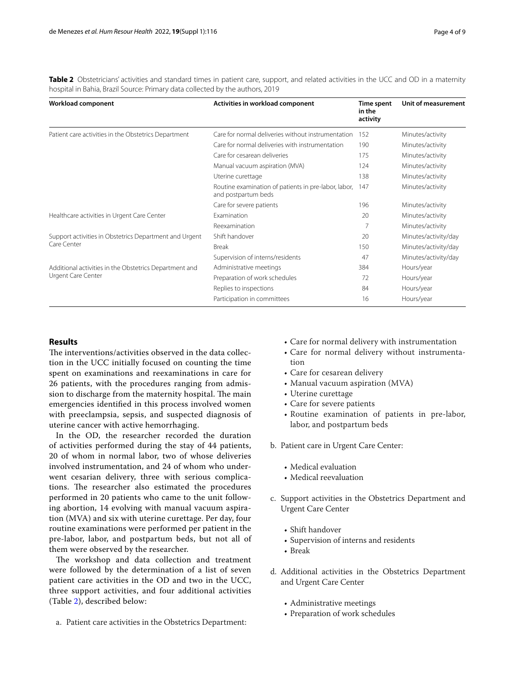<span id="page-3-0"></span>Table 2 Obstetricians' activities and standard times in patient care, support, and related activities in the UCC and OD in a maternity hospital in Bahia, Brazil Source: Primary data collected by the authors, 2019

| Workload component                                     | Activities in workload component                                            | Time spent<br>in the<br>activity | Unit of measurement  |
|--------------------------------------------------------|-----------------------------------------------------------------------------|----------------------------------|----------------------|
| Patient care activities in the Obstetrics Department   | Care for normal deliveries without instrumentation                          | 152                              | Minutes/activity     |
|                                                        | Care for normal deliveries with instrumentation                             | 190                              | Minutes/activity     |
|                                                        | Care for cesarean deliveries                                                | 175                              | Minutes/activity     |
|                                                        | Manual vacuum aspiration (MVA)                                              | 124                              | Minutes/activity     |
|                                                        | Uterine curettage                                                           | 138                              | Minutes/activity     |
|                                                        | Routine examination of patients in pre-labor, labor,<br>and postpartum beds | 147                              | Minutes/activity     |
|                                                        | Care for severe patients                                                    | 196                              | Minutes/activity     |
| Healthcare activities in Urgent Care Center            | Examination                                                                 | 20                               | Minutes/activity     |
|                                                        | Reexamination                                                               |                                  | Minutes/activity     |
| Support activities in Obstetrics Department and Urgent | Shift handover                                                              | 20                               | Minutes/activity/day |
| Care Center                                            | <b>Break</b>                                                                | 150                              | Minutes/activity/day |
|                                                        | Supervision of interns/residents                                            | 47                               | Minutes/activity/day |
| Additional activities in the Obstetrics Department and | Administrative meetings                                                     | 384                              | Hours/year           |
| Urgent Care Center                                     | Preparation of work schedules                                               | 72                               | Hours/year           |
|                                                        | Replies to inspections                                                      | 84                               | Hours/year           |
|                                                        | Participation in committees                                                 | 16                               | Hours/year           |

# **Results**

The interventions/activities observed in the data collection in the UCC initially focused on counting the time spent on examinations and reexaminations in care for 26 patients, with the procedures ranging from admission to discharge from the maternity hospital. The main emergencies identifed in this process involved women with preeclampsia, sepsis, and suspected diagnosis of uterine cancer with active hemorrhaging.

In the OD, the researcher recorded the duration of activities performed during the stay of 44 patients, 20 of whom in normal labor, two of whose deliveries involved instrumentation, and 24 of whom who underwent cesarian delivery, three with serious complications. The researcher also estimated the procedures performed in 20 patients who came to the unit following abortion, 14 evolving with manual vacuum aspiration (MVA) and six with uterine curettage. Per day, four routine examinations were performed per patient in the pre-labor, labor, and postpartum beds, but not all of them were observed by the researcher.

The workshop and data collection and treatment were followed by the determination of a list of seven patient care activities in the OD and two in the UCC, three support activities, and four additional activities (Table [2\)](#page-3-0), described below:

a. Patient care activities in the Obstetrics Department:

- Care for normal delivery with instrumentation
- Care for normal delivery without instrumentation
- Care for cesarean delivery
- Manual vacuum aspiration (MVA)
- Uterine curettage
- Care for severe patients
- Routine examination of patients in pre-labor, labor, and postpartum beds

b. Patient care in Urgent Care Center:

- Medical evaluation
- Medical reevaluation
- c. Support activities in the Obstetrics Department and Urgent Care Center
	- Shift handover
	- Supervision of interns and residents
	- Break
- d. Additional activities in the Obstetrics Department and Urgent Care Center
	- Administrative meetings
	- Preparation of work schedules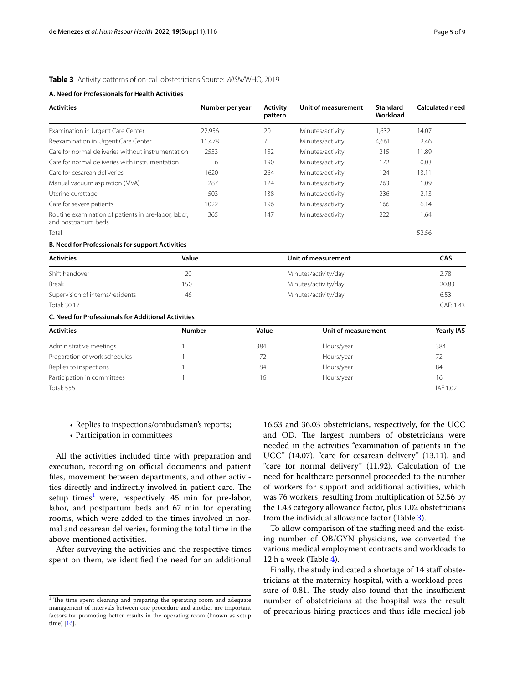| <b>Activities</b>                                                           | Number per year | <b>Activity</b><br>pattern | <b>Unit of measurement</b> | <b>Standard</b><br>Workload | <b>Calculated need</b> |
|-----------------------------------------------------------------------------|-----------------|----------------------------|----------------------------|-----------------------------|------------------------|
| Examination in Urgent Care Center                                           | 22,956          | 20                         | Minutes/activity           | 1.632                       | 14.07                  |
| Reexamination in Urgent Care Center                                         | 11,478          | 7                          | Minutes/activity           | 4,661                       | 2.46                   |
| Care for normal deliveries without instrumentation                          | 2553            | 152                        | Minutes/activity           | 215                         | 11.89                  |
| Care for normal deliveries with instrumentation                             | 6               | 190                        | Minutes/activity           | 172                         | 0.03                   |
| Care for cesarean deliveries                                                | 1620            | 264                        | Minutes/activity           | 124                         | 13.11                  |
| Manual vacuum aspiration (MVA)                                              | 287             | 124                        | Minutes/activity           | 263                         | 1.09                   |
| Uterine curettage                                                           | 503             | 138                        | Minutes/activity           | 236                         | 2.13                   |
| Care for severe patients                                                    | 1022            | 196                        | Minutes/activity           | 166                         | 6.14                   |
| Routine examination of patients in pre-labor, labor,<br>and postpartum beds | 365             | 147                        | Minutes/activity           | 222                         | 1.64                   |
| Total                                                                       |                 |                            |                            |                             | 52.56                  |
| <b>B. Need for Professionals for support Activities</b>                     |                 |                            |                            |                             |                        |
| <b>Activities</b>                                                           | Value           |                            | Unit of measurement        |                             |                        |
| Shift handover                                                              | 20              |                            | Minutes/activity/day       |                             |                        |
| <b>Break</b>                                                                | 150             | Minutes/activity/day       |                            |                             | 20.83                  |
| Supervision of interns/residents                                            | 46              | Minutes/activity/day       |                            |                             | 6.53                   |
| Total: 30.17                                                                |                 |                            |                            |                             | CAF: 1.43              |
| <b>C. Need for Professionals for Additional Activities</b>                  |                 |                            |                            |                             |                        |
| <b>Activities</b>                                                           | <b>Number</b>   | Value                      | Unit of measurement        |                             | <b>Yearly IAS</b>      |
| Administrative meetings                                                     |                 | 384                        | Hours/year                 |                             | 384                    |
| Preparation of work schedules                                               |                 | 72                         | Hours/year                 |                             | 72                     |
| Replies to inspections                                                      |                 | 84                         | Hours/year                 |                             | 84                     |
| Participation in committees                                                 |                 | 16                         | Hours/year                 |                             | 16                     |
| <b>Total: 556</b>                                                           |                 |                            |                            |                             | IAF:1.02               |

# <span id="page-4-1"></span>**Table 3** Activity patterns of on-call obstetricians Source: *WISN*/WHO, 2019

• Replies to inspections/ombudsman's reports;

• Participation in committees

All the activities included time with preparation and execution, recording on official documents and patient fles, movement between departments, and other activities directly and indirectly involved in patient care. The setup times<sup>1</sup> were, respectively, 45 min for pre-labor, labor, and postpartum beds and 67 min for operating rooms, which were added to the times involved in normal and cesarean deliveries, forming the total time in the above-mentioned activities.

After surveying the activities and the respective times spent on them, we identifed the need for an additional 16.53 and 36.03 obstetricians, respectively, for the UCC and OD. The largest numbers of obstetricians were needed in the activities "examination of patients in the UCC" (14.07), "care for cesarean delivery" (13.11), and "care for normal delivery" (11.92). Calculation of the need for healthcare personnel proceeded to the number of workers for support and additional activities, which was 76 workers, resulting from multiplication of 52.56 by the 1.43 category allowance factor, plus 1.02 obstetricians from the individual allowance factor (Table [3\)](#page-4-1).

To allow comparison of the staffing need and the existing number of OB/GYN physicians, we converted the various medical employment contracts and workloads to 12 h a week (Table [4](#page-5-0)).

Finally, the study indicated a shortage of 14 staff obstetricians at the maternity hospital, with a workload pressure of 0.81. The study also found that the insufficient number of obstetricians at the hospital was the result of precarious hiring practices and thus idle medical job

<span id="page-4-0"></span> $\frac{1}{1}$  The time spent cleaning and preparing the operating room and adequate management of intervals between one procedure and another are important factors for promoting better results in the operating room (known as setup time) [[16\]](#page-8-11).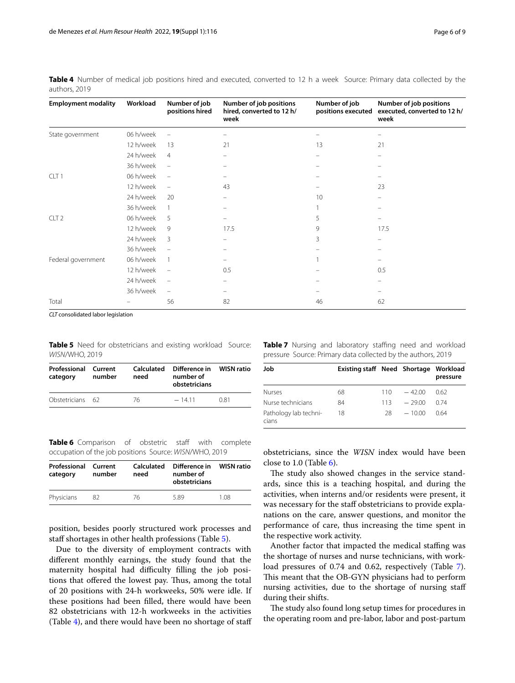| <b>Employment modality</b> | Workload  | Number of job<br>positions hired | Number of job positions<br>hired, converted to 12 h/<br>week | Number of job<br>positions executed | Number of job positions<br>executed, converted to 12 h/<br>week |
|----------------------------|-----------|----------------------------------|--------------------------------------------------------------|-------------------------------------|-----------------------------------------------------------------|
| State government           | 06 h/week |                                  |                                                              |                                     |                                                                 |
|                            | 12 h/week | 13                               | 21                                                           | 13                                  | 21                                                              |
|                            | 24 h/week | $\overline{4}$                   | $\overline{\phantom{0}}$                                     | $\equiv$                            | $\equiv$                                                        |
|                            | 36 h/week | $\qquad \qquad -$                |                                                              |                                     |                                                                 |
| CLT <sub>1</sub>           | 06 h/week | $\overline{\phantom{m}}$         |                                                              |                                     |                                                                 |
|                            | 12 h/week | $\equiv$                         | 43                                                           |                                     | 23                                                              |
|                            | 24 h/week | 20                               |                                                              | 10                                  |                                                                 |
|                            | 36 h/week | -1                               |                                                              |                                     |                                                                 |
| CLT <sub>2</sub>           | 06 h/week | 5                                |                                                              | 5                                   |                                                                 |
|                            | 12 h/week | 9                                | 17.5                                                         | 9                                   | 17.5                                                            |
|                            | 24 h/week | 3                                |                                                              | 3                                   |                                                                 |
|                            | 36 h/week | $\overline{\phantom{m}}$         |                                                              |                                     |                                                                 |
| Federal government         | 06 h/week | $\mathbf{1}$                     |                                                              |                                     |                                                                 |
|                            | 12 h/week | $\overline{\phantom{0}}$         | 0.5                                                          |                                     | 0.5                                                             |
|                            | 24 h/week |                                  |                                                              |                                     |                                                                 |
|                            | 36 h/week |                                  |                                                              |                                     |                                                                 |
| Total                      |           | 56                               | 82                                                           | 46                                  | 62                                                              |

<span id="page-5-0"></span>**Table 4** Number of medical job positions hired and executed, converted to 12 h a week Source: Primary data collected by the authors, 2019

*CLT* consolidated labor legislation

<span id="page-5-1"></span>**Table 5** Need for obstetricians and existing workload Source: *WISN*/WHO, 2019

| <b>Professional Current</b><br>category | number | Calculated<br>need | Difference in WISN ratio<br>number of<br>obstetricians |      |
|-----------------------------------------|--------|--------------------|--------------------------------------------------------|------|
| Obstetricians 62                        |        | 76                 | $-1411$                                                | 0.81 |

<span id="page-5-3"></span>**Table 7** Nursing and laboratory staffing need and workload pressure Source: Primary data collected by the authors, 2019

| Job                            | Existing staff Need Shortage Workload |     |          | pressure |
|--------------------------------|---------------------------------------|-----|----------|----------|
| <b>Nurses</b>                  | 68                                    | 110 | $-42.00$ | 062      |
| Nurse technicians              | 84                                    | 113 | $-2900$  | 0.74     |
| Pathology lab techni-<br>cians | 18                                    | 28. | $-1000$  | 0.64     |

<span id="page-5-2"></span>**Table 6** Comparison of obstetric staff with complete occupation of the job positions Source: *WISN*/WHO, 2019

| Professional<br>category | Current<br>number | Calculated<br>need | Difference in<br>number of<br>obstetricians | <b>WISN ratio</b> |
|--------------------------|-------------------|--------------------|---------------------------------------------|-------------------|
| Physicians               | 82.               | 76                 | 589                                         | 1.08              |

position, besides poorly structured work processes and staff shortages in other health professions (Table [5](#page-5-1)).

Due to the diversity of employment contracts with diferent monthly earnings, the study found that the maternity hospital had difficulty filling the job positions that offered the lowest pay. Thus, among the total of 20 positions with 24-h workweeks, 50% were idle. If these positions had been flled, there would have been 82 obstetricians with 12-h workweeks in the activities (Table [4\)](#page-5-0), and there would have been no shortage of staf obstetricians, since the *WISN* index would have been close to 1.0 (Table [6](#page-5-2)).

The study also showed changes in the service standards, since this is a teaching hospital, and during the activities, when interns and/or residents were present, it was necessary for the staff obstetricians to provide explanations on the care, answer questions, and monitor the performance of care, thus increasing the time spent in the respective work activity.

Another factor that impacted the medical staffing was the shortage of nurses and nurse technicians, with workload pressures of 0.74 and 0.62, respectively (Table [7](#page-5-3)). This meant that the OB-GYN physicians had to perform nursing activities, due to the shortage of nursing staf during their shifts.

The study also found long setup times for procedures in the operating room and pre-labor, labor and post-partum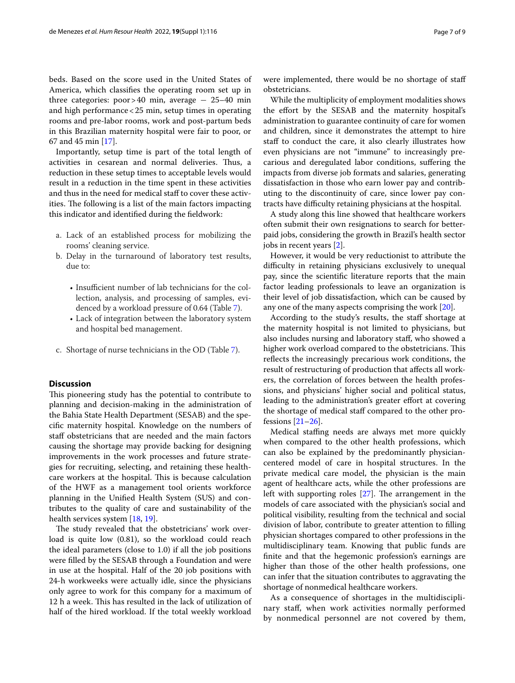beds. Based on the score used in the United States of America, which classifes the operating room set up in three categories:  $poor > 40$  min, average  $-25-40$  min and high performance<25 min, setup times in operating rooms and pre-labor rooms, work and post-partum beds in this Brazilian maternity hospital were fair to poor, or 67 and 45 min [\[17](#page-8-12)].

Importantly, setup time is part of the total length of activities in cesarean and normal deliveries. Thus, a reduction in these setup times to acceptable levels would result in a reduction in the time spent in these activities and thus in the need for medical staff to cover these activities. The following is a list of the main factors impacting this indicator and identifed during the feldwork:

- a. Lack of an established process for mobilizing the rooms' cleaning service.
- b. Delay in the turnaround of laboratory test results, due to:
	- Insufficient number of lab technicians for the collection, analysis, and processing of samples, evidenced by a workload pressure of 0.64 (Table [7\)](#page-5-3).
	- Lack of integration between the laboratory system and hospital bed management.
- c. Shortage of nurse technicians in the OD (Table [7](#page-5-3)).

## **Discussion**

This pioneering study has the potential to contribute to planning and decision-making in the administration of the Bahia State Health Department (SESAB) and the specifc maternity hospital. Knowledge on the numbers of staff obstetricians that are needed and the main factors causing the shortage may provide backing for designing improvements in the work processes and future strategies for recruiting, selecting, and retaining these healthcare workers at the hospital. This is because calculation of the HWF as a management tool orients workforce planning in the Unifed Health System (SUS) and contributes to the quality of care and sustainability of the health services system [[18,](#page-8-13) [19](#page-8-14)].

The study revealed that the obstetricians' work overload is quite low (0.81), so the workload could reach the ideal parameters (close to 1.0) if all the job positions were flled by the SESAB through a Foundation and were in use at the hospital. Half of the 20 job positions with 24-h workweeks were actually idle, since the physicians only agree to work for this company for a maximum of 12 h a week. This has resulted in the lack of utilization of half of the hired workload. If the total weekly workload were implemented, there would be no shortage of staf obstetricians.

While the multiplicity of employment modalities shows the efort by the SESAB and the maternity hospital's administration to guarantee continuity of care for women and children, since it demonstrates the attempt to hire staff to conduct the care, it also clearly illustrates how even physicians are not "immune" to increasingly precarious and deregulated labor conditions, sufering the impacts from diverse job formats and salaries, generating dissatisfaction in those who earn lower pay and contributing to the discontinuity of care, since lower pay contracts have difficulty retaining physicians at the hospital.

A study along this line showed that healthcare workers often submit their own resignations to search for betterpaid jobs, considering the growth in Brazil's health sector jobs in recent years [[2\]](#page-8-15).

However, it would be very reductionist to attribute the difficulty in retaining physicians exclusively to unequal pay, since the scientifc literature reports that the main factor leading professionals to leave an organization is their level of job dissatisfaction, which can be caused by any one of the many aspects comprising the work [\[20](#page-8-16)].

According to the study's results, the staff shortage at the maternity hospital is not limited to physicians, but also includes nursing and laboratory staf, who showed a higher work overload compared to the obstetricians. This reflects the increasingly precarious work conditions, the result of restructuring of production that afects all workers, the correlation of forces between the health professions, and physicians' higher social and political status, leading to the administration's greater effort at covering the shortage of medical staf compared to the other professions [\[21](#page-8-17)[–26\]](#page-8-18).

Medical stafng needs are always met more quickly when compared to the other health professions, which can also be explained by the predominantly physiciancentered model of care in hospital structures. In the private medical care model, the physician is the main agent of healthcare acts, while the other professions are left with supporting roles  $[27]$  $[27]$ . The arrangement in the models of care associated with the physician's social and political visibility, resulting from the technical and social division of labor, contribute to greater attention to flling physician shortages compared to other professions in the multidisciplinary team. Knowing that public funds are fnite and that the hegemonic profession's earnings are higher than those of the other health professions, one can infer that the situation contributes to aggravating the shortage of nonmedical healthcare workers.

As a consequence of shortages in the multidisciplinary staf, when work activities normally performed by nonmedical personnel are not covered by them,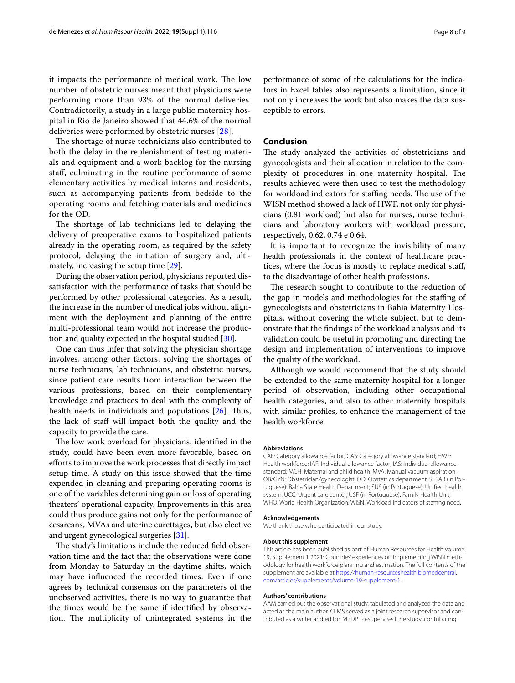it impacts the performance of medical work. The low number of obstetric nurses meant that physicians were performing more than 93% of the normal deliveries. Contradictorily, a study in a large public maternity hospital in Rio de Janeiro showed that 44.6% of the normal deliveries were performed by obstetric nurses [\[28](#page-8-20)].

The shortage of nurse technicians also contributed to both the delay in the replenishment of testing materials and equipment and a work backlog for the nursing staf, culminating in the routine performance of some elementary activities by medical interns and residents, such as accompanying patients from bedside to the operating rooms and fetching materials and medicines for the OD.

The shortage of lab technicians led to delaying the delivery of preoperative exams to hospitalized patients already in the operating room, as required by the safety protocol, delaying the initiation of surgery and, ultimately, increasing the setup time [\[29\]](#page-8-21).

During the observation period, physicians reported dissatisfaction with the performance of tasks that should be performed by other professional categories. As a result, the increase in the number of medical jobs without alignment with the deployment and planning of the entire multi-professional team would not increase the production and quality expected in the hospital studied [\[30](#page-8-22)].

One can thus infer that solving the physician shortage involves, among other factors, solving the shortages of nurse technicians, lab technicians, and obstetric nurses, since patient care results from interaction between the various professions, based on their complementary knowledge and practices to deal with the complexity of health needs in individuals and populations  $[26]$  $[26]$ . Thus, the lack of staf will impact both the quality and the capacity to provide the care.

The low work overload for physicians, identified in the study, could have been even more favorable, based on eforts to improve the work processes that directly impact setup time. A study on this issue showed that the time expended in cleaning and preparing operating rooms is one of the variables determining gain or loss of operating theaters' operational capacity. Improvements in this area could thus produce gains not only for the performance of cesareans, MVAs and uterine curettages, but also elective and urgent gynecological surgeries [[31](#page-8-23)].

The study's limitations include the reduced field observation time and the fact that the observations were done from Monday to Saturday in the daytime shifts, which may have infuenced the recorded times. Even if one agrees by technical consensus on the parameters of the unobserved activities, there is no way to guarantee that the times would be the same if identifed by observation. The multiplicity of unintegrated systems in the performance of some of the calculations for the indicators in Excel tables also represents a limitation, since it not only increases the work but also makes the data susceptible to errors.

# **Conclusion**

The study analyzed the activities of obstetricians and gynecologists and their allocation in relation to the complexity of procedures in one maternity hospital. The results achieved were then used to test the methodology for workload indicators for staffing needs. The use of the WISN method showed a lack of HWF, not only for physicians (0.81 workload) but also for nurses, nurse technicians and laboratory workers with workload pressure, respectively, 0.62, 0.74 e 0.64.

It is important to recognize the invisibility of many health professionals in the context of healthcare practices, where the focus is mostly to replace medical staf, to the disadvantage of other health professions.

The research sought to contribute to the reduction of the gap in models and methodologies for the stafng of gynecologists and obstetricians in Bahia Maternity Hospitals, without covering the whole subject, but to demonstrate that the fndings of the workload analysis and its validation could be useful in promoting and directing the design and implementation of interventions to improve the quality of the workload.

Although we would recommend that the study should be extended to the same maternity hospital for a longer period of observation, including other occupational health categories, and also to other maternity hospitals with similar profles, to enhance the management of the health workforce.

#### **Abbreviations**

CAF: Category allowance factor; CAS: Category allowance standard; HWF: Health workforce; IAF: Individual allowance factor; IAS: Individual allowance standard; MCH: Maternal and child health; MVA: Manual vacuum aspiration; OB/GYN: Obstetrician/gynecologist; OD: Obstetrics department; SESAB (in Portuguese): Bahia State Health Department; SUS (in Portuguese): Unifed health system; UCC: Urgent care center; USF (in Portuguese): Family Health Unit; WHO: World Health Organization; WISN: Workload indicators of staffing need.

#### **Acknowledgements**

We thank those who participated in our study.

#### **About this supplement**

This article has been published as part of Human Resources for Health Volume 19, Supplement 1 2021: Countries' experiences on implementing WISN methodology for health workforce planning and estimation. The full contents of the supplement are available at [https://human-resourceshealth.biomedcentral.](https://human-resourceshealth.biomedcentral.com/articles/supplements/volume-19-supplement-1) [com/articles/supplements/volume-19-supplement-1](https://human-resourceshealth.biomedcentral.com/articles/supplements/volume-19-supplement-1).

#### **Authors' contributions**

AAM carried out the observational study, tabulated and analyzed the data and acted as the main author. CLMS served as a joint research supervisor and contributed as a writer and editor. MRDP co-supervised the study, contributing